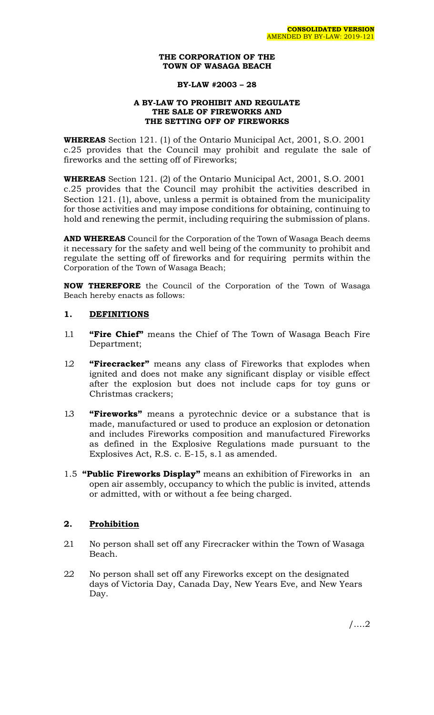#### **THE CORPORATION OF THE TOWN OF WASAGA BEACH**

### **BY-LAW #2003 – 28**

### **A BY-LAW TO PROHIBIT AND REGULATE THE SALE OF FIREWORKS AND THE SETTING OFF OF FIREWORKS**

**WHEREAS** Section 121. (1) of the Ontario Municipal Act, 2001, S.O. 2001 c.25 provides that the Council may prohibit and regulate the sale of fireworks and the setting off of Fireworks;

**WHEREAS** Section 121. (2) of the Ontario Municipal Act, 2001, S.O. 2001 c.25 provides that the Council may prohibit the activities described in Section 121. (1), above, unless a permit is obtained from the municipality for those activities and may impose conditions for obtaining, continuing to hold and renewing the permit, including requiring the submission of plans.

**AND WHEREAS** Council for the Corporation of the Town of Wasaga Beach deems it necessary for the safety and well being of the community to prohibit and regulate the setting off of fireworks and for requiring permits within the Corporation of the Town of Wasaga Beach;

**NOW THEREFORE** the Council of the Corporation of the Town of Wasaga Beach hereby enacts as follows:

### **1. DEFINITIONS**

- 1.1 **"Fire Chief"** means the Chief of The Town of Wasaga Beach Fire Department;
- 1.2 **"Firecracker"** means any class of Fireworks that explodes when ignited and does not make any significant display or visible effect after the explosion but does not include caps for toy guns or Christmas crackers;
- 1.3 **"Fireworks"** means a pyrotechnic device or a substance that is made, manufactured or used to produce an explosion or detonation and includes Fireworks composition and manufactured Fireworks as defined in the Explosive Regulations made pursuant to the Explosives Act, R.S. c. E-15, s.1 as amended.
- 1.5 **"Public Fireworks Display"** means an exhibition of Fireworks in an open air assembly, occupancy to which the public is invited, attends or admitted, with or without a fee being charged.

## **2. Prohibition**

- 2.1 No person shall set off any Firecracker within the Town of Wasaga Beach.
- 2.2 No person shall set off any Fireworks except on the designated days of Victoria Day, Canada Day, New Years Eve, and New Years Day.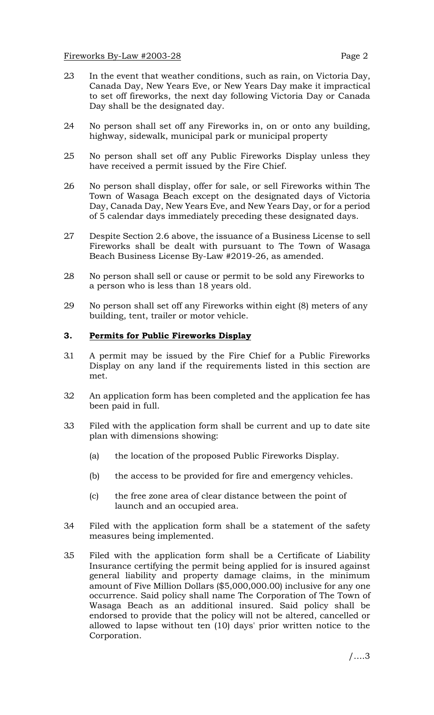- 2.3 In the event that weather conditions, such as rain, on Victoria Day, Canada Day, New Years Eve, or New Years Day make it impractical to set off fireworks, the next day following Victoria Day or Canada Day shall be the designated day.
- 2.4 No person shall set off any Fireworks in, on or onto any building, highway, sidewalk, municipal park or municipal property
- 2.5 No person shall set off any Public Fireworks Display unless they have received a permit issued by the Fire Chief.
- 2.6 No person shall display, offer for sale, or sell Fireworks within The Town of Wasaga Beach except on the designated days of Victoria Day, Canada Day, New Years Eve, and New Years Day, or for a period of 5 calendar days immediately preceding these designated days.
- 2.7 Despite Section 2.6 above, the issuance of a Business License to sell Fireworks shall be dealt with pursuant to The Town of Wasaga Beach Business License By-Law #2019-26, as amended.
- 2.8 No person shall sell or cause or permit to be sold any Fireworks to a person who is less than 18 years old.
- 2.9 No person shall set off any Fireworks within eight (8) meters of any building, tent, trailer or motor vehicle.

### **3. Permits for Public Fireworks Display**

- 3.1 A permit may be issued by the Fire Chief for a Public Fireworks Display on any land if the requirements listed in this section are met.
- 3.2 An application form has been completed and the application fee has been paid in full.
- 3.3 Filed with the application form shall be current and up to date site plan with dimensions showing:
	- (a) the location of the proposed Public Fireworks Display.
	- (b) the access to be provided for fire and emergency vehicles.
	- (c) the free zone area of clear distance between the point of launch and an occupied area.
- 3.4 Filed with the application form shall be a statement of the safety measures being implemented.
- 3.5 Filed with the application form shall be a Certificate of Liability Insurance certifying the permit being applied for is insured against general liability and property damage claims, in the minimum amount of Five Million Dollars (\$5,000,000.00) inclusive for any one occurrence. Said policy shall name The Corporation of The Town of Wasaga Beach as an additional insured. Said policy shall be endorsed to provide that the policy will not be altered, cancelled or allowed to lapse without ten (10) days' prior written notice to the Corporation.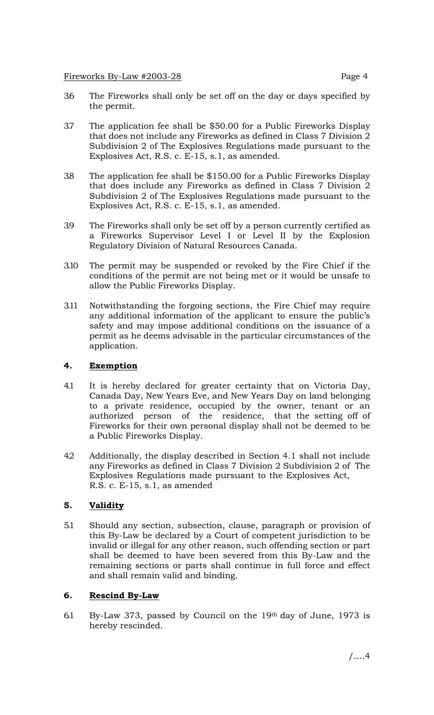## Fireworks By-Law #2003-28 Page 4

- 3.6 The Fireworks shall only be set off on the day or days specified by the permit.
- 3.7 The application fee shall be \$50.00 for a Public Fireworks Display that does not include any Fireworks as defined in Class 7 Division 2 Subdivision 2 of The Explosives Regulations made pursuant to the Explosives Act, R.S. c. E-15, s.1, as amended.
- 3.8 The application fee shall be \$150.00 for a Public Fireworks Display that does include any Fireworks as defined in Class 7 Division 2 Subdivision 2 of The Explosives Regulations made pursuant to the Explosives Act, R.S. c. E-15, s.1, as amended.
- 3.9 The Fireworks shall only be set off by a person currently certified as a Fireworks Supervisor Level I or Level II by the Explosion Regulatory Division of Natural Resources Canada.
- 3.10 The permit may be suspended or revoked by the Fire Chief if the conditions of the permit are not being met or it would be unsafe to allow the Public Fireworks Display.
- 3.11 Notwithstanding the forgoing sections, the Fire Chief may require any additional information of the applicant to ensure the public's safety and may impose additional conditions on the issuance of a permit as he deems advisable in the particular circumstances of the application.

# **4. Exemption**

- 4.1 It is hereby declared for greater certainty that on Victoria Day, Canada Day, New Years Eve, and New Years Day on land belonging to a private residence, occupied by the owner, tenant or an authorized person of the residence, that the setting off of Fireworks for their own personal display shall not be deemed to be a Public Fireworks Display.
- 4.2 Additionally, the display described in Section 4.1 shall not include any Fireworks as defined in Class 7 Division 2 Subdivision 2 of The Explosives Regulations made pursuant to the Explosives Act, R.S. c. E-15, s.1, as amended

# **5. Validity**

5.1 Should any section, subsection, clause, paragraph or provision of this By-Law be declared by a Court of competent jurisdiction to be invalid or illegal for any other reason, such offending section or part shall be deemed to have been severed from this By-Law and the remaining sections or parts shall continue in full force and effect and shall remain valid and binding.

## **6. Rescind By-Law**

6.1 By-Law 373, passed by Council on the 19th day of June, 1973 is hereby rescinded.